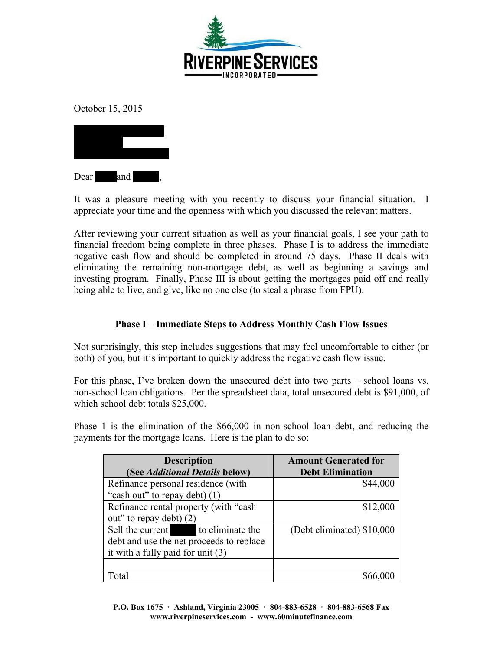

October 15, 2015



It was a pleasure meeting with you recently to discuss your financial situation. I appreciate your time and the openness with which you discussed the relevant matters.

After reviewing your current situation as well as your financial goals, I see your path to financial freedom being complete in three phases. Phase I is to address the immediate negative cash flow and should be completed in around 75 days. Phase II deals with eliminating the remaining non-mortgage debt, as well as beginning a savings and investing program. Finally, Phase III is about getting the mortgages paid off and really being able to live, and give, like no one else (to steal a phrase from FPU).

# **Phase I – Immediate Steps to Address Monthly Cash Flow Issues**

Not surprisingly, this step includes suggestions that may feel uncomfortable to either (or both) of you, but it's important to quickly address the negative cash flow issue.

For this phase, I've broken down the unsecured debt into two parts – school loans vs. non-school loan obligations. Per the spreadsheet data, total unsecured debt is \$91,000, of which school debt totals \$25,000.

Phase 1 is the elimination of the \$66,000 in non-school loan debt, and reducing the payments for the mortgage loans. Here is the plan to do so:

| <b>Description</b>                       | <b>Amount Generated for</b> |
|------------------------------------------|-----------------------------|
| (See Additional Details below)           | <b>Debt Elimination</b>     |
| Refinance personal residence (with       | \$44,000                    |
| "cash out" to repay debt) (1)            |                             |
| Refinance rental property (with "cash    | \$12,000                    |
| out" to repay debt) (2)                  |                             |
| Sell the current to eliminate the        | (Debt eliminated) \$10,000  |
| debt and use the net proceeds to replace |                             |
| it with a fully paid for unit $(3)$      |                             |
|                                          |                             |
| Total                                    |                             |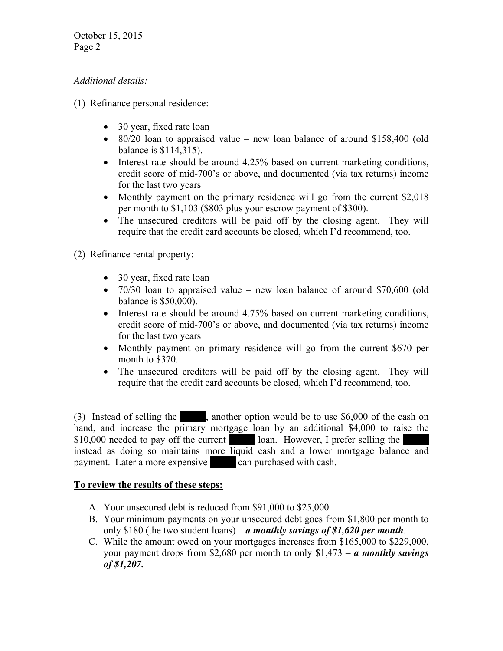October 15, 2015 Page 2

### *Additional details:*

- (1) Refinance personal residence:
	- 30 year, fixed rate loan
	- $\bullet$  80/20 loan to appraised value new loan balance of around \$158,400 (old balance is \$114,315).
	- Interest rate should be around 4.25% based on current marketing conditions, credit score of mid-700's or above, and documented (via tax returns) income for the last two years
	- Monthly payment on the primary residence will go from the current \$2,018 per month to \$1,103 (\$803 plus your escrow payment of \$300).
	- The unsecured creditors will be paid off by the closing agent. They will require that the credit card accounts be closed, which I'd recommend, too.
- (2) Refinance rental property:
	- 30 year, fixed rate loan
	- 70/30 loan to appraised value new loan balance of around \$70,600 (old balance is \$50,000).
	- Interest rate should be around 4.75% based on current marketing conditions, credit score of mid-700's or above, and documented (via tax returns) income for the last two years
	- Monthly payment on primary residence will go from the current \$670 per month to \$370.
	- The unsecured creditors will be paid off by the closing agent. They will require that the credit card accounts be closed, which I'd recommend, too.

(3) Instead of selling the  $\blacksquare$ , another option would be to use \$6,000 of the cash on hand, and increase the primary mortgage loan by an additional \$4,000 to raise the  $$10,000$  needed to pay off the current loan. However, I prefer selling the instead as doing so maintains more liquid cash and a lower mortgage balance and payment. Later a more expensive can purchased with cash.

#### **To review the results of these steps:**

- A. Your unsecured debt is reduced from \$91,000 to \$25,000.
- B. Your minimum payments on your unsecured debt goes from \$1,800 per month to only \$180 (the two student loans) – *a monthly savings of \$1,620 per month*.
- C. While the amount owed on your mortgages increases from \$165,000 to \$229,000, your payment drops from \$2,680 per month to only \$1,473 – *a monthly savings of \$1,207.*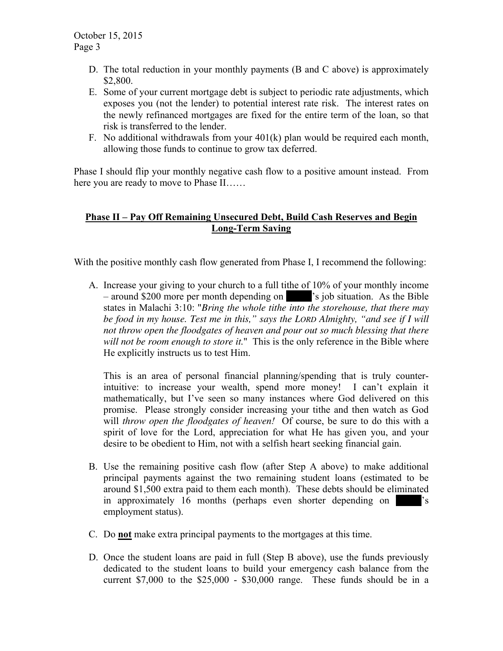- D. The total reduction in your monthly payments (B and C above) is approximately \$2,800.
- E. Some of your current mortgage debt is subject to periodic rate adjustments, which exposes you (not the lender) to potential interest rate risk. The interest rates on the newly refinanced mortgages are fixed for the entire term of the loan, so that risk is transferred to the lender.
- F. No additional withdrawals from your  $401(k)$  plan would be required each month, allowing those funds to continue to grow tax deferred.

Phase I should flip your monthly negative cash flow to a positive amount instead. From here you are ready to move to Phase II……

# **Phase II – Pay Off Remaining Unsecured Debt, Build Cash Reserves and Begin Long-Term Saving**

With the positive monthly cash flow generated from Phase I, I recommend the following:

A. Increase your giving to your church to a full tithe of 10% of your monthly income  $-$  around \$200 more per month depending on  $\blacksquare$  's job situation. As the Bible states in Malachi 3:10: "*Bring the whole tithe into the storehouse, that there may be food in my house. Test me in this," says the LORD Almighty, "and see if I will not throw open the floodgates of heaven and pour out so much blessing that there will not be room enough to store it.*" This is the only reference in the Bible where He explicitly instructs us to test Him.

This is an area of personal financial planning/spending that is truly counterintuitive: to increase your wealth, spend more money! I can't explain it mathematically, but I've seen so many instances where God delivered on this promise. Please strongly consider increasing your tithe and then watch as God will *throw open the floodgates of heaven!* Of course, be sure to do this with a spirit of love for the Lord, appreciation for what He has given you, and your desire to be obedient to Him, not with a selfish heart seeking financial gain.

- B. Use the remaining positive cash flow (after Step A above) to make additional principal payments against the two remaining student loans (estimated to be around \$1,500 extra paid to them each month). These debts should be eliminated in approximately 16 months (perhaps even shorter depending on  $\gamma$ 's employment status).
- C. Do **not** make extra principal payments to the mortgages at this time.
- D. Once the student loans are paid in full (Step B above), use the funds previously dedicated to the student loans to build your emergency cash balance from the current \$7,000 to the \$25,000 - \$30,000 range. These funds should be in a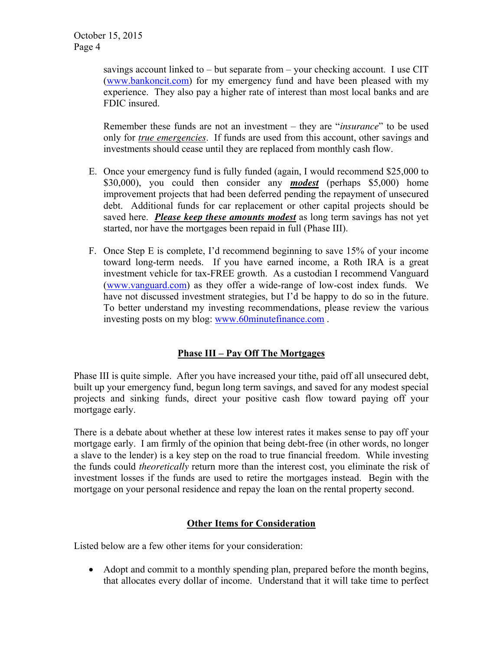savings account linked to  $-$  but separate from  $-$  your checking account. I use CIT (www.bankoncit.com) for my emergency fund and have been pleased with my experience. They also pay a higher rate of interest than most local banks and are FDIC insured.

Remember these funds are not an investment – they are "*insurance*" to be used only for *true emergencies*. If funds are used from this account, other savings and investments should cease until they are replaced from monthly cash flow.

- E. Once your emergency fund is fully funded (again, I would recommend \$25,000 to \$30,000), you could then consider any *modest* (perhaps \$5,000) home improvement projects that had been deferred pending the repayment of unsecured debt. Additional funds for car replacement or other capital projects should be saved here. *Please keep these amounts modest* as long term savings has not yet started, nor have the mortgages been repaid in full (Phase III).
- F. Once Step E is complete, I'd recommend beginning to save 15% of your income toward long-term needs. If you have earned income, a Roth IRA is a great investment vehicle for tax-FREE growth. As a custodian I recommend Vanguard (www.vanguard.com) as they offer a wide-range of low-cost index funds. We have not discussed investment strategies, but I'd be happy to do so in the future. To better understand my investing recommendations, please review the various investing posts on my blog: www.60minutefinance.com .

# **Phase III – Pay Off The Mortgages**

Phase III is quite simple. After you have increased your tithe, paid off all unsecured debt, built up your emergency fund, begun long term savings, and saved for any modest special projects and sinking funds, direct your positive cash flow toward paying off your mortgage early.

There is a debate about whether at these low interest rates it makes sense to pay off your mortgage early. I am firmly of the opinion that being debt-free (in other words, no longer a slave to the lender) is a key step on the road to true financial freedom. While investing the funds could *theoretically* return more than the interest cost, you eliminate the risk of investment losses if the funds are used to retire the mortgages instead. Begin with the mortgage on your personal residence and repay the loan on the rental property second.

## **Other Items for Consideration**

Listed below are a few other items for your consideration:

 Adopt and commit to a monthly spending plan, prepared before the month begins, that allocates every dollar of income. Understand that it will take time to perfect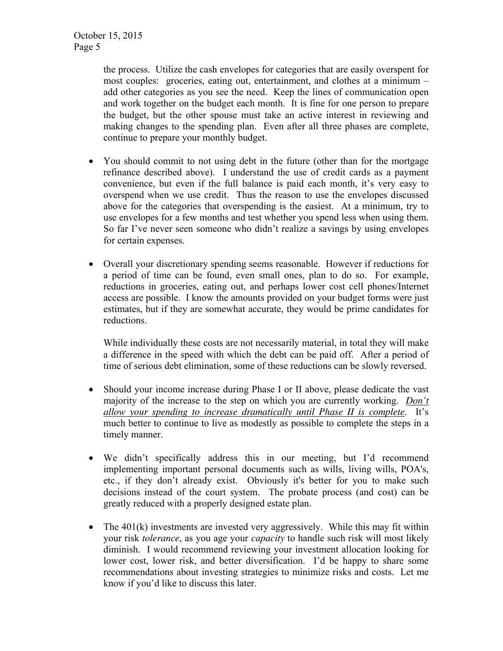the process. Utilize the cash envelopes for categories that are easily overspent for most couples: groceries, eating out, entertainment, and clothes at a minimum – add other categories as you see the need. Keep the lines of communication open and work together on the budget each month. It is fine for one person to prepare the budget, but the other spouse must take an active interest in reviewing and making changes to the spending plan. Even after all three phases are complete, continue to prepare your monthly budget.

- You should commit to not using debt in the future (other than for the mortgage refinance described above). I understand the use of credit cards as a payment convenience, but even if the full balance is paid each month, it's very easy to overspend when we use credit. Thus the reason to use the envelopes discussed above for the categories that overspending is the easiest. At a minimum, try to use envelopes for a few months and test whether you spend less when using them. So far I've never seen someone who didn't realize a savings by using envelopes for certain expenses.
- Overall your discretionary spending seems reasonable. However if reductions for a period of time can be found, even small ones, plan to do so. For example, reductions in groceries, eating out, and perhaps lower cost cell phones/Internet access are possible. I know the amounts provided on your budget forms were just estimates, but if they are somewhat accurate, they would be prime candidates for reductions.

While individually these costs are not necessarily material, in total they will make a difference in the speed with which the debt can be paid off. After a period of time of serious debt elimination, some of these reductions can be slowly reversed.

- Should your income increase during Phase I or II above, please dedicate the vast majority of the increase to the step on which you are currently working. *Don't allow your spending to increase dramatically until Phase II is complete*. It's much better to continue to live as modestly as possible to complete the steps in a timely manner.
- We didn't specifically address this in our meeting, but I'd recommend implementing important personal documents such as wills, living wills, POA's, etc., if they don't already exist. Obviously it's better for you to make such decisions instead of the court system. The probate process (and cost) can be greatly reduced with a properly designed estate plan.
- The  $401(k)$  investments are invested very aggressively. While this may fit within your risk *tolerance*, as you age your *capacity* to handle such risk will most likely diminish. I would recommend reviewing your investment allocation looking for lower cost, lower risk, and better diversification. I'd be happy to share some recommendations about investing strategies to minimize risks and costs. Let me know if you'd like to discuss this later.